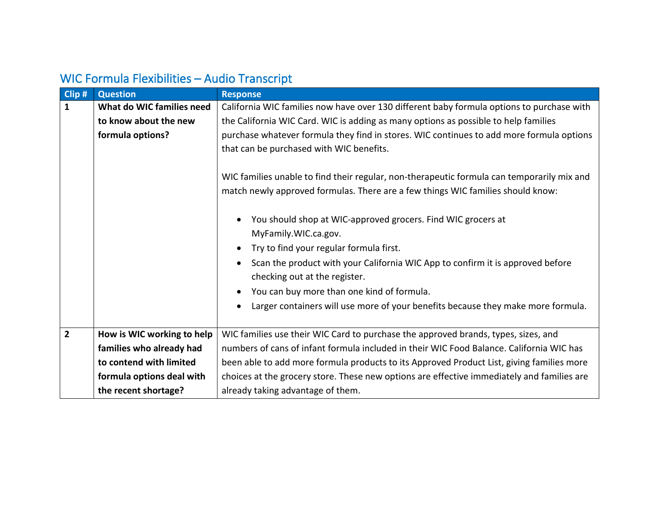| Clip#          | <b>Question</b>            | <b>Response</b>                                                                             |
|----------------|----------------------------|---------------------------------------------------------------------------------------------|
| $\mathbf{1}$   | What do WIC families need  | California WIC families now have over 130 different baby formula options to purchase with   |
|                | to know about the new      | the California WIC Card. WIC is adding as many options as possible to help families         |
|                | formula options?           | purchase whatever formula they find in stores. WIC continues to add more formula options    |
|                |                            | that can be purchased with WIC benefits.                                                    |
|                |                            |                                                                                             |
|                |                            | WIC families unable to find their regular, non-therapeutic formula can temporarily mix and  |
|                |                            | match newly approved formulas. There are a few things WIC families should know:             |
|                |                            |                                                                                             |
|                |                            | You should shop at WIC-approved grocers. Find WIC grocers at                                |
|                |                            | MyFamily.WIC.ca.gov.                                                                        |
|                |                            | Try to find your regular formula first.                                                     |
|                |                            | Scan the product with your California WIC App to confirm it is approved before<br>$\bullet$ |
|                |                            | checking out at the register.                                                               |
|                |                            | You can buy more than one kind of formula.                                                  |
|                |                            | Larger containers will use more of your benefits because they make more formula.            |
|                |                            |                                                                                             |
| $\overline{2}$ | How is WIC working to help | WIC families use their WIC Card to purchase the approved brands, types, sizes, and          |
|                | families who already had   | numbers of cans of infant formula included in their WIC Food Balance. California WIC has    |
|                | to contend with limited    | been able to add more formula products to its Approved Product List, giving families more   |
|                | formula options deal with  | choices at the grocery store. These new options are effective immediately and families are  |
|                | the recent shortage?       | already taking advantage of them.                                                           |

## WIC Formula Flexibilities – Audio Transcript